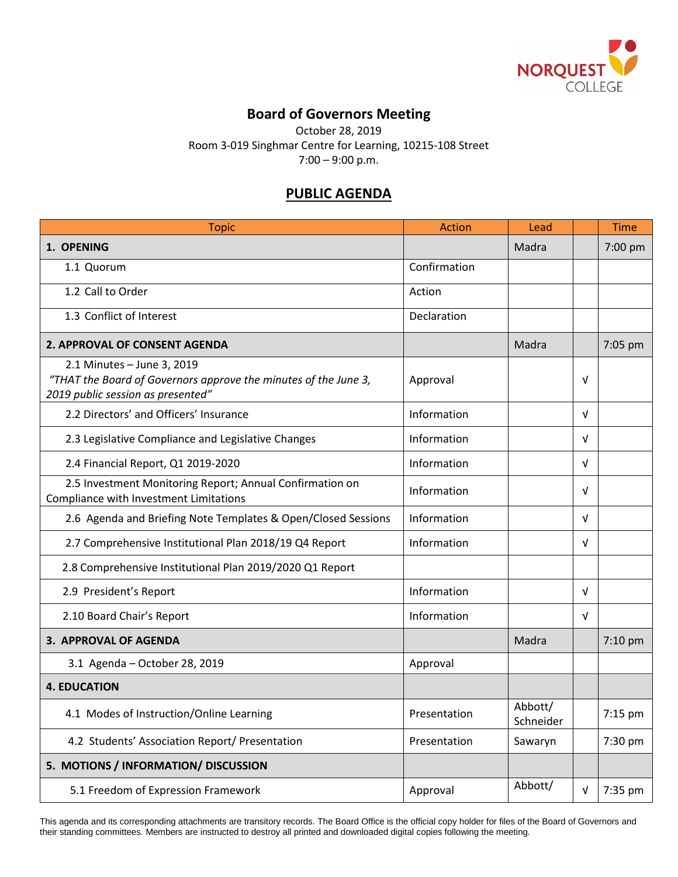

## **Board of Governors Meeting**

October 28, 2019

Room 3-019 Singhmar Centre for Learning, 10215-108 Street

7:00 – 9:00 p.m.

## **PUBLIC AGENDA**

| <b>Topic</b>                                                                                                                       | Action       | Lead                 |            | <b>Time</b> |
|------------------------------------------------------------------------------------------------------------------------------------|--------------|----------------------|------------|-------------|
| 1. OPENING                                                                                                                         |              | Madra                |            | 7:00 pm     |
| 1.1 Quorum                                                                                                                         | Confirmation |                      |            |             |
| 1.2 Call to Order                                                                                                                  | Action       |                      |            |             |
| 1.3 Conflict of Interest                                                                                                           | Declaration  |                      |            |             |
| <b>2. APPROVAL OF CONSENT AGENDA</b>                                                                                               |              | Madra                |            | 7:05 pm     |
| 2.1 Minutes - June 3, 2019<br>"THAT the Board of Governors approve the minutes of the June 3,<br>2019 public session as presented" | Approval     |                      | ν          |             |
| 2.2 Directors' and Officers' Insurance                                                                                             | Information  |                      | $\sqrt{ }$ |             |
| 2.3 Legislative Compliance and Legislative Changes                                                                                 | Information  |                      | $\sqrt{ }$ |             |
| 2.4 Financial Report, Q1 2019-2020                                                                                                 | Information  |                      | v          |             |
| 2.5 Investment Monitoring Report; Annual Confirmation on<br>Compliance with Investment Limitations                                 | Information  |                      | $\sqrt{ }$ |             |
| 2.6 Agenda and Briefing Note Templates & Open/Closed Sessions                                                                      | Information  |                      | $\sqrt{ }$ |             |
| 2.7 Comprehensive Institutional Plan 2018/19 Q4 Report                                                                             | Information  |                      | v          |             |
| 2.8 Comprehensive Institutional Plan 2019/2020 Q1 Report                                                                           |              |                      |            |             |
| 2.9 President's Report                                                                                                             | Information  |                      | $\sqrt{ }$ |             |
| 2.10 Board Chair's Report                                                                                                          | Information  |                      | V          |             |
| 3. APPROVAL OF AGENDA                                                                                                              |              | Madra                |            | 7:10 pm     |
| 3.1 Agenda - October 28, 2019                                                                                                      | Approval     |                      |            |             |
| <b>4. EDUCATION</b>                                                                                                                |              |                      |            |             |
| 4.1 Modes of Instruction/Online Learning                                                                                           | Presentation | Abbott/<br>Schneider |            | 7:15 pm     |
| 4.2 Students' Association Report/ Presentation                                                                                     | Presentation | Sawaryn              |            | 7:30 pm     |
| 5. MOTIONS / INFORMATION/ DISCUSSION                                                                                               |              |                      |            |             |
| 5.1 Freedom of Expression Framework                                                                                                | Approval     | Abbott/              | $\sqrt{ }$ | 7:35 pm     |

This agenda and its corresponding attachments are transitory records. The Board Office is the official copy holder for files of the Board of Governors and their standing committees. Members are instructed to destroy all printed and downloaded digital copies following the meeting.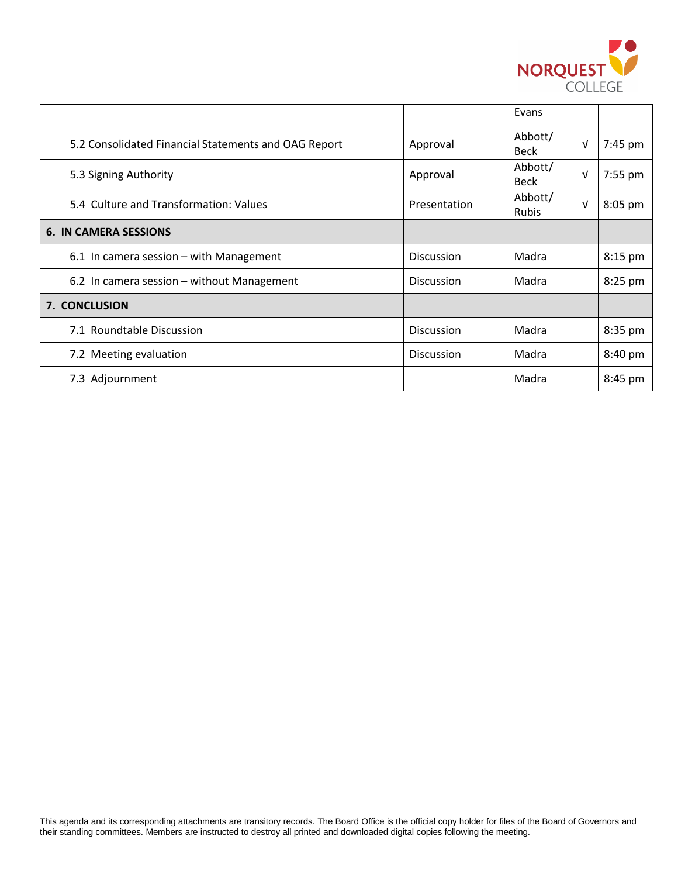

|                                                      |                   | Evans                   |            |         |
|------------------------------------------------------|-------------------|-------------------------|------------|---------|
| 5.2 Consolidated Financial Statements and OAG Report | Approval          | Abbott/<br><b>Beck</b>  | V          | 7:45 pm |
| 5.3 Signing Authority                                | Approval          | Abbott/<br><b>Beck</b>  | $\sqrt{ }$ | 7:55 pm |
| 5.4 Culture and Transformation: Values               | Presentation      | Abbott/<br><b>Rubis</b> | $\sqrt{ }$ | 8:05 pm |
| <b>6. IN CAMERA SESSIONS</b>                         |                   |                         |            |         |
| 6.1 In camera session $-$ with Management            | <b>Discussion</b> | Madra                   |            | 8:15 pm |
| 6.2 In camera session – without Management           | Discussion        | Madra                   |            | 8:25 pm |
| 7. CONCLUSION                                        |                   |                         |            |         |
| 7.1 Roundtable Discussion                            | Discussion        | Madra                   |            | 8:35 pm |
| 7.2 Meeting evaluation                               | <b>Discussion</b> | Madra                   |            | 8:40 pm |
| 7.3 Adjournment                                      |                   | Madra                   |            | 8:45 pm |